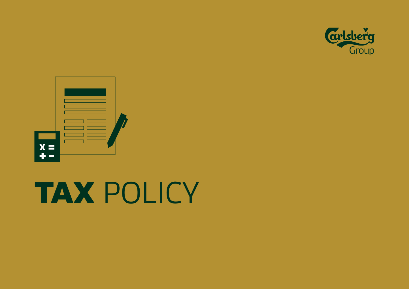



# TAX POLICY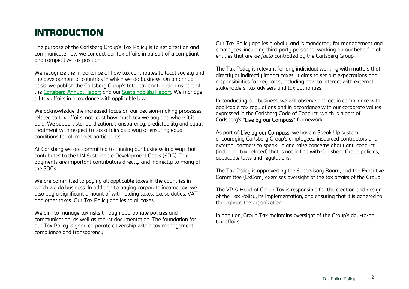## INTRODUCTION

.

The purpose of the Carlsberg Group's Tax Policu is to set direction and communicate how we conduct our tax affairs in pursuit of a compliant and competitive tax position.

We recognize the importance of how tax contributes to local society and the development of countries in which we do business. On an annual basis, we publish the Carlsberg Group's total tax contribution as part of the [Carlsberg Annual Report](https://www.carlsberggroup.com/media/42542/carlsberg-group-annual-report-2020_final.pdf) and our [Sustainability Report.](https://www.carlsberggroup.com/media/42556/carlsberg-sustainability-report-2020_final.pdf) We manage all tax affairs in accordance with applicable law.

We acknowledge the increased focus on our decision-making processes related to tax affairs, not least how much tax we pay and where it is paid. We support standardization, transparency, predictability and equal treatment with respect to tax affairs as a way of ensuring equal conditions for all market participants.

At Carlsberg we are committed to running our business in a way that contributes to the UN Sustainable Development Goals (SDG). Tax payments are important contributors directly and indirectly to many of the SDGs.

We are committed to paying all applicable taxes in the countries in which we do business. In addition to paying corporate income tax, we also pay a significant amount of withholding taxes, excise duties, VAT and other taxes. Our Tax Policy applies to all taxes.

We aim to manage tax risks through appropriate policies and communication, as well as robust documentation. The foundation for our Tax Policy is good corporate citizenship within tax management, compliance and transparency.

Our Tax Policy applies globally and is mandatory for management and employees, including third-party personnel working on our behalf in all entities that are *de facto* controlled by the Carlsberg Group

The Tax Policy is relevant for any individual working with matters that directly or indirectly impact taxes. It aims to set out expectations and responsibilities for key roles, including how to interact with external stakeholders, tax advisers and tax authorities.

In conducting our business, we will observe and act in compliance with applicable tax regulations and in accordance with our corporate values expressed in the Carlsberg Code of Conduct, which is a part of Carlsberg's "Live by our Compass" framework.

As part of Live by our Compass, we have a Speak Up system encouraging Carlsberg Group's employees, insourced contractors and external partners to speak up and raise concerns about any conduct (including tax-related) that is not in line with Carlsberg Group policies, applicable laws and regulations.

The Tax Policy is approved by the Supervisory Board, and the Executive Committee (ExCom) exercises oversight of the tax affairs of the Group.

The VP & Head of Group Tax is responsible for the creation and design of the Tax Policy, its implementation, and ensuring that it is adhered to throughout the organization.

In addition, Group Tax maintains oversight of the Group's day-to-day tax affairs.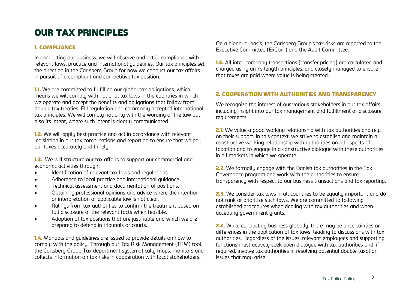## OUR TAX PRINCIPLES

#### 1. COMPLIANCE

In conducting our business, we will observe and act in compliance with relevant laws, practice and international guidelines. Our tax principles set the direction in the Carlsberg Group for how we conduct our tax affairs in pursuit of a compliant and competitive tax position.

**1.1.** We are committed to fulfilling our global tax obligations, which means we will comply with national tax laws in the countries in which we operate and accept the benefits and obligations that follow from double tax treaties, EU regulation and commonly accepted international tax principles. We will comply not only with the wording of the law but also its intent, where such intent is clearly communicated.

**1.2.** We will apply best practice and act in accordance with relevant legislation in our tax computations and reporting to ensure that we pay our taxes accurately and timely.

**1.3.** We will structure our tax affairs to support our commercial and economic activities through:

- Identification of relevant tax laws and regulations.
- Adherence to local practice and international guidance.
- Technical assessment and documentation of positions.
- Obtaining professional opinions and advice where the intention or interpretation of applicable law is not clear.
- Rulings from tax authorities to confirm the treatment based on full disclosure of the relevant facts when feasible.
- Adoption of tax positions that are justifiable and which we are prepared to defend in tribunals or courts.

1.4. Manuals and guidelines are issued to provide details on how to comply with the policy. Through our Tax Risk Management (TRM) tool, the Carlsberg Group Tax department systematically maps, monitors and collects information on tax risks in cooperation with local stakeholders.

On a biannual basis, the Carlsberg Group's tax risks are reported to the Executive Committee (ExCom) and the Audit Committee.

**1.5.** All inter-company transactions (transfer pricing) are calculated and charged using arm's length principles, and closely managed to ensure that taxes are paid where value is being created.

#### 2. COOPERATION WITH AUTHORITIES AND TRANSPARENCY

We recognize the interest of our various stakeholders in our tax affairs, including insight into our tax management and fulfillment of disclosure requirements.

**2.1.** We value a good working relationship with tax authorities and rely on their support. In this context, we strive to establish and maintain a constructive working relationship with authorities on all aspects of taxation and to engage in a constructive dialogue with these authorities in all markets in which we operate.

2.2. We formally engage with the Danish tax authorities in the Tax Governance program and work with the authorities to ensure transparency with respect to our business transactions and tax reporting.

**2.3.** We consider tax laws in all countries to be equally important and do not rank or prioritize such laws. We are committed to following established procedures when dealing with tax authorities and when accepting government grants.

2.4. While conducting business globally, there may be uncertainties or differences in the application of tax laws, leading to discussions with tax authorities. Regardless of the issues, relevant employees and supporting functions must actively seek open dialogue with tax authorities and, if required, involve tax authorities in resolving potential double taxation issues that mau arise.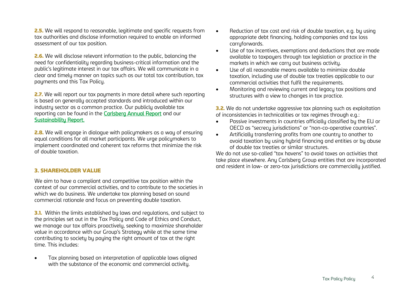**2.5.** We will respond to reasonable, legitimate and specific requests from tax authorities and disclose information required to enable an informed assessment of our tax position.

2.6. We will disclose relevant information to the public, balancing the need for confidentiality regarding business-critical information and the public's legitimate interest in our tax affairs. We will communicate in a clear and timely manner on topics such as our total tax contribution, tax payments and this Tax Policy.

**2.7.** We will report our tax payments in more detail where such reporting is based on generally accepted standards and introduced within our industry sector as a common practice. Our publicly available tax reporting can be found in the [Carlsberg Annual Report](https://www.carlsberggroup.com/media/42542/carlsberg-group-annual-report-2020_final.pdf) and our [Sustainability Report.](https://www.carlsberggroup.com/media/42556/carlsberg-sustainability-report-2020_final.pdf) 

**2.8.** We will engage in dialogue with policymakers as a way of ensuring equal conditions for all market participants. We urge policymakers to implement coordinated and coherent tax reforms that minimize the risk of double taxation.

#### 3. SHAREHOLDER VALUE

We aim to have a compliant and competitive tax position within the context of our commercial activities, and to contribute to the societies in which we do business. We undertake tax planning based on sound commercial rationale and focus on preventing double taxation.

**3.1.** Within the limits established by laws and regulations, and subject to the principles set out in the Tax Policy and Code of Ethics and Conduct, we manage our tax affairs proactively, seeking to maximize shareholder value in accordance with our Group's Strategy while at the same time contributing to society by paying the right amount of tax at the right time. This includes:

• Tax planning based on interpretation of applicable laws aligned with the substance of the economic and commercial activity.

- Reduction of tax cost and risk of double taxation, e.g. by using appropriate debt financing, holding companies and tax loss carruforwards.
- Use of tax incentives, exemptions and deductions that are made available to taxpayers through tax legislation or practice in the markets in which we carry out business activity.
- $\bullet$  Use of all reasonable means available to minimize double taxation, including use of double tax treaties applicable to our commercial activities that fulfil the requirements.
- Monitoring and reviewing current and legacy tax positions and structures with a view to changes in tax practice.

**3.2.** We do not undertake aggressive tax planning such as exploitation of inconsistencies in technicalities or tax regimes through e.g.:

- Passive investments in countries officially classified by the EU or OECD as "secrecy jurisdictions" or "non-co-operative countries".
- Artificially transferring profits from one country to another to avoid taxation by using hybrid financing and entities or by abuse of double tax treaties or similar structures.

We do not use so-called "tax havens" to avoid taxes on activities that take place elsewhere. Any Carlsberg Group entities that are incorporated and resident in low- or zero-tax jurisdictions are commercially justified.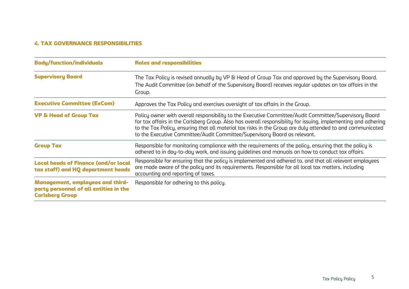### 4. TAX GOVERNANCE RESPONSIBILITIES

| <b>Body/function/individuals</b>                                                                            | <b>Roles and responsibilities</b>                                                                                                                                                                                                                                                                                                                                                                                  |
|-------------------------------------------------------------------------------------------------------------|--------------------------------------------------------------------------------------------------------------------------------------------------------------------------------------------------------------------------------------------------------------------------------------------------------------------------------------------------------------------------------------------------------------------|
| <b>Supervisory Board</b>                                                                                    | The Tax Policy is revised annually by VP & Head of Group Tax and approved by the Supervisory Board.<br>The Audit Committee (on behalf of the Supervisory Board) receives regular updates on tax affairs in the<br>Group.                                                                                                                                                                                           |
| <b>Executive Committee (ExCom)</b>                                                                          | Approves the Tax Policy and exercises oversight of tax affairs in the Group.                                                                                                                                                                                                                                                                                                                                       |
| <b>VP &amp; Head of Group Tax</b>                                                                           | Policy owner with overall responsibility to the Executive Committee/Audit Committee/Supervisory Board<br>for tax affairs in the Carlsberg Group. Also has overall responsibility for issuing, implementing and adhering<br>to the Tax Policy, ensuring that all material tax risks in the Group are duly attended to and communicated<br>to the Executive Committee/Audit Committee/Supervisory Board as relevant. |
| <b>Group Tax</b>                                                                                            | Responsible for monitoring compliance with the requirements of the policy, ensuring that the policy is<br>adhered to in day-to-day work, and issuing guidelines and manuals on how to conduct tax affairs.                                                                                                                                                                                                         |
| <b>Local heads of Finance (and/or local</b><br>tax staff) and HQ department heads                           | Responsible for ensuring that the policy is implemented and adhered to, and that all relevant employees<br>are made aware of the policy and its requirements. Responsible for all local tax matters, including<br>accounting and reporting of taxes.                                                                                                                                                               |
| <b>Management, employees and third-</b><br>party personnel of all entities in the<br><b>Carlsberg Group</b> | Responsible for adhering to this policy.                                                                                                                                                                                                                                                                                                                                                                           |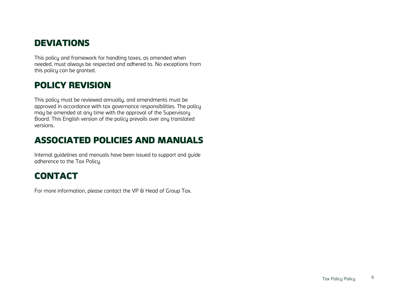## **DEVIATIONS**

This policy and framework for handling taxes, as amended when needed, must always be respected and adhered to. No exceptions from this policy can be granted.

## POLICY REVISION

This policy must be reviewed annually, and amendments must be approved in accordance with tax governance responsibilities. The policy may be amended at any time with the approval of the Supervisory Board. This English version of the policy prevails over any translated versions.

## ASSOCIATED POLICIES AND MANUALS

Internal guidelines and manuals have been issued to support and guide adherence to the Tax Policy.

## CONTACT

For more information, please contact the VP & Head of Group Tax.